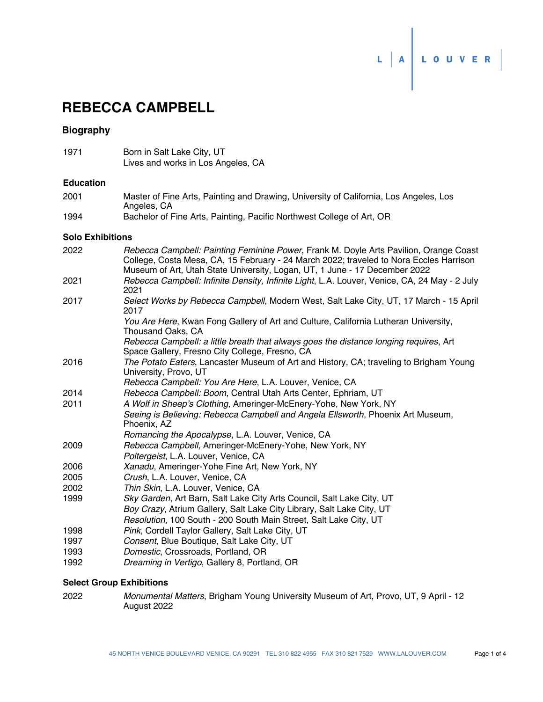# $\begin{array}{c|c|c|c|c} \begin{array}{c|c} \multicolumn{3}{c|}{\textbf{L}} & \multicolumn{3}{c|}{\textbf{D}} & \multicolumn{3}{c|}{\textbf{A}} & \multicolumn{3}{c|}{\end{array} & \multicolumn{3}{c|}{\textbf{L}} & \multicolumn{3}{c|}{\textbf{D}} & \multicolumn{3}{c|}{\textbf{A}} & \multicolumn{3}{c|}{\textbf{A}} & \multicolumn{3}{c|}{\textbf{A}} & \multicolumn{3}{c|}{\textbf{A}} & \multicolumn{3}{c|}{\textbf{A}} & \multicolumn{3}{c|}{$

# **REBECCA CAMPBELL**

#### **Biography**

1971 Born in Salt Lake City, UT Lives and works in Los Angeles, CA

#### **Education**

- Master of Fine Arts, Painting and Drawing, University of California, Los Angeles, Los Angeles, CA 2001
- 1994 Bachelor of Fine Arts, Painting, Pacific Northwest College of Art, OR

#### **Solo Exhibitions**

| 2022 | Rebecca Campbell: Painting Feminine Power, Frank M. Doyle Arts Pavilion, Orange Coast<br>College, Costa Mesa, CA, 15 February - 24 March 2022; traveled to Nora Eccles Harrison<br>Museum of Art, Utah State University, Logan, UT, 1 June - 17 December 2022 |
|------|---------------------------------------------------------------------------------------------------------------------------------------------------------------------------------------------------------------------------------------------------------------|
| 2021 | Rebecca Campbell: Infinite Density, Infinite Light, L.A. Louver, Venice, CA, 24 May - 2 July<br>2021                                                                                                                                                          |
| 2017 | Select Works by Rebecca Campbell, Modern West, Salt Lake City, UT, 17 March - 15 April<br>2017                                                                                                                                                                |
|      | You Are Here, Kwan Fong Gallery of Art and Culture, California Lutheran University,<br>Thousand Oaks, CA                                                                                                                                                      |
|      | Rebecca Campbell: a little breath that always goes the distance longing requires, Art<br>Space Gallery, Fresno City College, Fresno, CA                                                                                                                       |
| 2016 | The Potato Eaters, Lancaster Museum of Art and History, CA; traveling to Brigham Young<br>University, Provo, UT                                                                                                                                               |
|      | Rebecca Campbell: You Are Here, L.A. Louver, Venice, CA                                                                                                                                                                                                       |
| 2014 | Rebecca Campbell: Boom, Central Utah Arts Center, Ephriam, UT                                                                                                                                                                                                 |
| 2011 | A Wolf in Sheep's Clothing, Ameringer-McEnery-Yohe, New York, NY                                                                                                                                                                                              |
|      | Seeing is Believing: Rebecca Campbell and Angela Ellsworth, Phoenix Art Museum,<br>Phoenix, AZ                                                                                                                                                                |
|      | Romancing the Apocalypse, L.A. Louver, Venice, CA                                                                                                                                                                                                             |
| 2009 | Rebecca Campbell, Ameringer-McEnery-Yohe, New York, NY                                                                                                                                                                                                        |
|      | Poltergeist, L.A. Louver, Venice, CA                                                                                                                                                                                                                          |
| 2006 | Xanadu, Ameringer-Yohe Fine Art, New York, NY                                                                                                                                                                                                                 |
| 2005 | Crush, L.A. Louver, Venice, CA                                                                                                                                                                                                                                |
| 2002 | Thin Skin, L.A. Louver, Venice, CA                                                                                                                                                                                                                            |
| 1999 | Sky Garden, Art Barn, Salt Lake City Arts Council, Salt Lake City, UT                                                                                                                                                                                         |
|      | Boy Crazy, Atrium Gallery, Salt Lake City Library, Salt Lake City, UT                                                                                                                                                                                         |
|      | Resolution, 100 South - 200 South Main Street, Salt Lake City, UT                                                                                                                                                                                             |
| 1998 | Pink, Cordell Taylor Gallery, Salt Lake City, UT                                                                                                                                                                                                              |
| 1997 | Consent, Blue Boutique, Salt Lake City, UT                                                                                                                                                                                                                    |
| 1993 | Domestic, Crossroads, Portland, OR                                                                                                                                                                                                                            |
| 1992 | Dreaming in Vertigo, Gallery 8, Portland, OR                                                                                                                                                                                                                  |
|      |                                                                                                                                                                                                                                                               |

#### **Select Group Exhibitions**

*Monumental Matters*, Brigham Young University Museum of Art, Provo, UT, 9 April - 12 August 2022 2022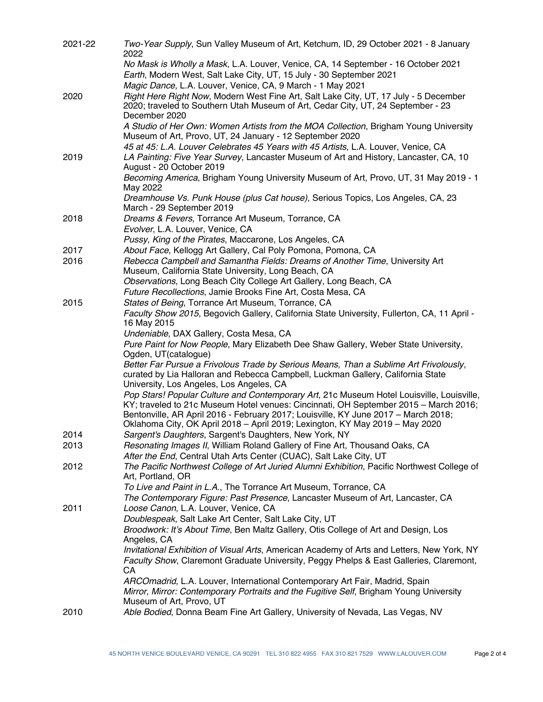| 2021-22 | Two-Year Supply, Sun Valley Museum of Art, Ketchum, ID, 29 October 2021 - 8 January<br>2022                                                                              |
|---------|--------------------------------------------------------------------------------------------------------------------------------------------------------------------------|
|         | No Mask is Wholly a Mask, L.A. Louver, Venice, CA, 14 September - 16 October 2021                                                                                        |
|         | Earth, Modern West, Salt Lake City, UT, 15 July - 30 September 2021                                                                                                      |
|         | Magic Dance, L.A. Louver, Venice, CA, 9 March - 1 May 2021                                                                                                               |
| 2020    | Right Here Right Now, Modern West Fine Art, Salt Lake City, UT, 17 July - 5 December<br>2020; traveled to Southern Utah Museum of Art, Cedar City, UT, 24 September - 23 |
|         | December 2020<br>A Studio of Her Own: Women Artists from the MOA Collection, Brigham Young University                                                                    |
|         | Museum of Art, Provo, UT, 24 January - 12 September 2020                                                                                                                 |
|         | 45 at 45: L.A. Louver Celebrates 45 Years with 45 Artists, L.A. Louver, Venice, CA                                                                                       |
| 2019    | LA Painting: Five Year Survey, Lancaster Museum of Art and History, Lancaster, CA, 10<br>August - 20 October 2019                                                        |
|         | Becoming America, Brigham Young University Museum of Art, Provo, UT, 31 May 2019 - 1<br>May 2022                                                                         |
|         | Dreamhouse Vs. Punk House (plus Cat house), Serious Topics, Los Angeles, CA, 23<br>March - 29 September 2019                                                             |
| 2018    | Dreams & Fevers, Torrance Art Museum, Torrance, CA                                                                                                                       |
|         | Evolver, L.A. Louver, Venice, CA                                                                                                                                         |
|         | Pussy, King of the Pirates, Maccarone, Los Angeles, CA                                                                                                                   |
| 2017    | About Face, Kellogg Art Gallery, Cal Poly Pomona, Pomona, CA                                                                                                             |
| 2016    | Rebecca Campbell and Samantha Fields: Dreams of Another Time, University Art                                                                                             |
|         | Museum, California State University, Long Beach, CA<br>Observations, Long Beach City College Art Gallery, Long Beach, CA                                                 |
|         | Future Recollections, Jamie Brooks Fine Art, Costa Mesa, CA                                                                                                              |
| 2015    | States of Being, Torrance Art Museum, Torrance, CA                                                                                                                       |
|         | Faculty Show 2015, Begovich Gallery, California State University, Fullerton, CA, 11 April -                                                                              |
|         | 16 May 2015                                                                                                                                                              |
|         | Undeniable, DAX Gallery, Costa Mesa, CA                                                                                                                                  |
|         | Pure Paint for Now People, Mary Elizabeth Dee Shaw Gallery, Weber State University,                                                                                      |
|         | Ogden, UT(catalogue)                                                                                                                                                     |
|         | Better Far Pursue a Frivolous Trade by Serious Means, Than a Sublime Art Frivolously,                                                                                    |
|         | curated by Lia Halloran and Rebecca Campbell, Luckman Gallery, California State<br>University, Los Angeles, Los Angeles, CA                                              |
|         | Pop Stars! Popular Culture and Contemporary Art, 21c Museum Hotel Louisville, Louisville,                                                                                |
|         | KY; traveled to 21c Museum Hotel venues: Cincinnati, OH September 2015 - March 2016;                                                                                     |
|         | Bentonville, AR April 2016 - February 2017; Louisville, KY June 2017 - March 2018;                                                                                       |
|         | Oklahoma City, OK April 2018 - April 2019; Lexington, KY May 2019 - May 2020                                                                                             |
| 2014    | Sargent's Daughters, Sargent's Daughters, New York, NY                                                                                                                   |
| 2013    | Resonating Images II, William Roland Gallery of Fine Art, Thousand Oaks, CA<br>After the End, Central Utah Arts Center (CUAC), Salt Lake City, UT                        |
| 2012    | The Pacific Northwest College of Art Juried Alumni Exhibition, Pacific Northwest College of                                                                              |
|         | Art, Portland, OR                                                                                                                                                        |
|         | To Live and Paint in L.A., The Torrance Art Museum, Torrance, CA                                                                                                         |
|         | The Contemporary Figure: Past Presence, Lancaster Museum of Art, Lancaster, CA                                                                                           |
| 2011    | Loose Canon, L.A. Louver, Venice, CA                                                                                                                                     |
|         | Doublespeak, Salt Lake Art Center, Salt Lake City, UT                                                                                                                    |
|         | Broodwork: It's About Time, Ben Maltz Gallery, Otis College of Art and Design, Los                                                                                       |
|         | Angeles, CA<br>Invitational Exhibition of Visual Arts, American Academy of Arts and Letters, New York, NY                                                                |
|         | Faculty Show, Claremont Graduate University, Peggy Phelps & East Galleries, Claremont,                                                                                   |
|         | CA                                                                                                                                                                       |
|         | ARCOmadrid, L.A. Louver, International Contemporary Art Fair, Madrid, Spain                                                                                              |
|         | Mirror, Mirror: Contemporary Portraits and the Fugitive Self, Brigham Young University                                                                                   |
|         | Museum of Art, Provo, UT                                                                                                                                                 |
| 2010    | Able Bodied, Donna Beam Fine Art Gallery, University of Nevada, Las Vegas, NV                                                                                            |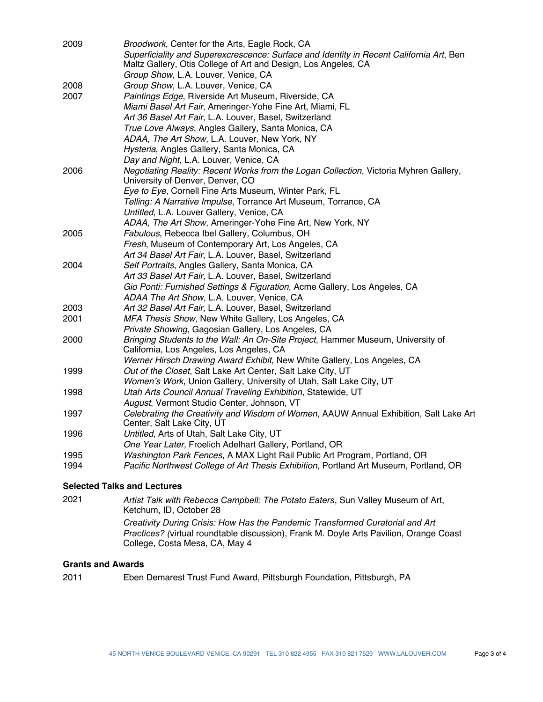| 2009 | Broodwork, Center for the Arts, Eagle Rock, CA                                                                            |
|------|---------------------------------------------------------------------------------------------------------------------------|
|      | Superficiality and Superexcrescence: Surface and Identity in Recent California Art, Ben                                   |
|      | Maltz Gallery, Otis College of Art and Design, Los Angeles, CA                                                            |
|      | Group Show, L.A. Louver, Venice, CA                                                                                       |
| 2008 | Group Show, L.A. Louver, Venice, CA                                                                                       |
| 2007 | Paintings Edge, Riverside Art Museum, Riverside, CA                                                                       |
|      | Miami Basel Art Fair, Ameringer-Yohe Fine Art, Miami, FL                                                                  |
|      | Art 36 Basel Art Fair, L.A. Louver, Basel, Switzerland                                                                    |
|      | True Love Always, Angles Gallery, Santa Monica, CA                                                                        |
|      | ADAA, The Art Show, L.A. Louver, New York, NY                                                                             |
|      | Hysteria, Angles Gallery, Santa Monica, CA                                                                                |
|      | Day and Night, L.A. Louver, Venice, CA                                                                                    |
| 2006 | Negotiating Reality: Recent Works from the Logan Collection, Victoria Myhren Gallery,<br>University of Denver, Denver, CO |
|      | Eye to Eye, Cornell Fine Arts Museum, Winter Park, FL                                                                     |
|      | Telling: A Narrative Impulse, Torrance Art Museum, Torrance, CA                                                           |
|      | Untitled, L.A. Louver Gallery, Venice, CA                                                                                 |
|      | ADAA, The Art Show, Ameringer-Yohe Fine Art, New York, NY                                                                 |
| 2005 | Fabulous, Rebecca Ibel Gallery, Columbus, OH                                                                              |
|      | Fresh, Museum of Contemporary Art, Los Angeles, CA                                                                        |
|      | Art 34 Basel Art Fair, L.A. Louver, Basel, Switzerland                                                                    |
| 2004 | Self Portraits, Angles Gallery, Santa Monica, CA                                                                          |
|      | Art 33 Basel Art Fair, L.A. Louver, Basel, Switzerland                                                                    |
|      | Gio Ponti: Furnished Settings & Figuration, Acme Gallery, Los Angeles, CA                                                 |
|      | ADAA The Art Show, L.A. Louver, Venice, CA                                                                                |
| 2003 | Art 32 Basel Art Fair, L.A. Louver, Basel, Switzerland                                                                    |
| 2001 | MFA Thesis Show, New White Gallery, Los Angeles, CA                                                                       |
|      | Private Showing, Gagosian Gallery, Los Angeles, CA                                                                        |
| 2000 | Bringing Students to the Wall: An On-Site Project, Hammer Museum, University of                                           |
|      | California, Los Angeles, Los Angeles, CA                                                                                  |
|      | Werner Hirsch Drawing Award Exhibit, New White Gallery, Los Angeles, CA                                                   |
| 1999 | Out of the Closet, Salt Lake Art Center, Salt Lake City, UT                                                               |
|      | Women's Work, Union Gallery, University of Utah, Salt Lake City, UT                                                       |
| 1998 | Utah Arts Council Annual Traveling Exhibition, Statewide, UT                                                              |
|      | August, Vermont Studio Center, Johnson, VT                                                                                |
| 1997 | Celebrating the Creativity and Wisdom of Women, AAUW Annual Exhibition, Salt Lake Art                                     |
|      | Center, Salt Lake City, UT                                                                                                |
| 1996 | Untitled, Arts of Utah, Salt Lake City, UT                                                                                |
|      | One Year Later, Froelich Adelhart Gallery, Portland, OR                                                                   |
| 1995 | Washington Park Fences, A MAX Light Rail Public Art Program, Portland, OR                                                 |
| 1994 | Pacific Northwest College of Art Thesis Exhibition, Portland Art Museum, Portland, OR                                     |
|      |                                                                                                                           |
|      |                                                                                                                           |

### **Selected Talks and Lectures**

| 2021 | Artist Talk with Rebecca Campbell: The Potato Eaters, Sun Valley Museum of Art,<br>Ketchum, ID, October 28                                                                                                |
|------|-----------------------------------------------------------------------------------------------------------------------------------------------------------------------------------------------------------|
|      | Creativity During Crisis: How Has the Pandemic Transformed Curatorial and Art<br>Practices? (virtual roundtable discussion), Frank M. Doyle Arts Pavilion, Orange Coast<br>College, Costa Mesa, CA, May 4 |

## **Grants and Awards**

2011 Eben Demarest Trust Fund Award, Pittsburgh Foundation, Pittsburgh, PA